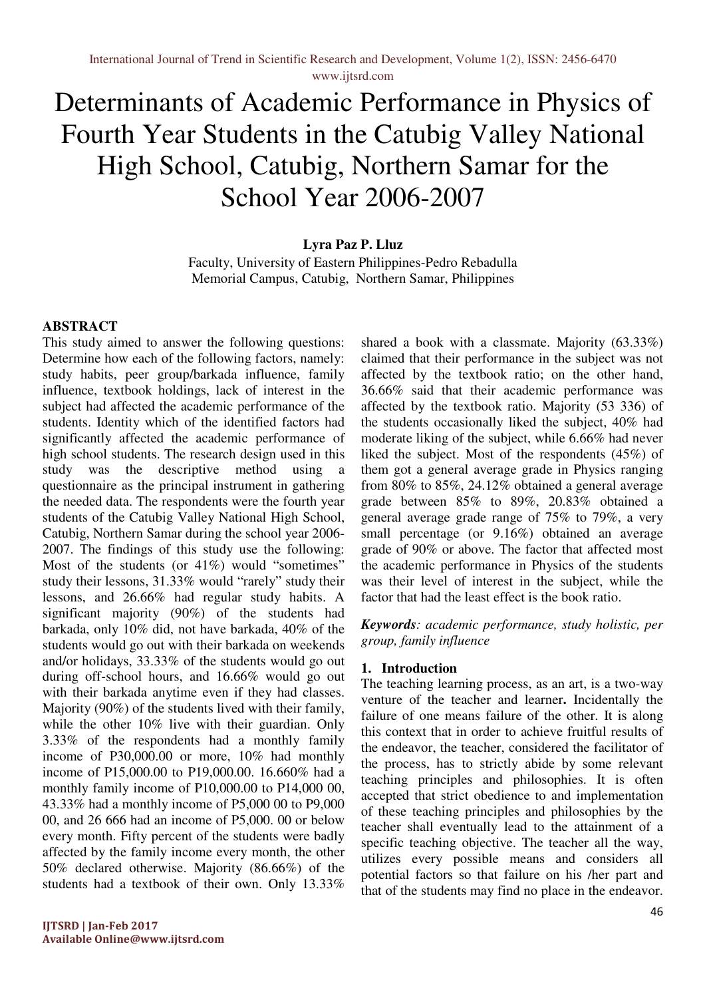# Determinants of Academic Performance in Physics of Fourth Year Students in the Catubig Valley National High School, Catubig, Northern Samar for the School Year 2006-2007

## **Lyra Paz P. Lluz**

Faculty, University of Eastern Philippines-Pedro Rebadulla Memorial Campus, Catubig, Northern Samar, Philippines

## **ABSTRACT**

This study aimed to answer the following questions: Determine how each of the following factors, namely: study habits, peer group/barkada influence, family influence, textbook holdings, lack of interest in the subject had affected the academic performance of the students. Identity which of the identified factors had significantly affected the academic performance of high school students. The research design used in this study was the descriptive method using a questionnaire as the principal instrument in gathering the needed data. The respondents were the fourth year students of the Catubig Valley National High School, Catubig, Northern Samar during the school year 2006- 2007. The findings of this study use the following: Most of the students (or 41%) would "sometimes" study their lessons, 31.33% would "rarely" study their lessons, and 26.66% had regular study habits. A significant majority (90%) of the students had barkada, only 10% did, not have barkada, 40% of the students would go out with their barkada on weekends and/or holidays, 33.33% of the students would go out during off-school hours, and 16.66% would go out with their barkada anytime even if they had classes. Majority (90%) of the students lived with their family, while the other 10% live with their guardian. Only 3.33% of the respondents had a monthly family income of P30,000.00 or more, 10% had monthly income of P15,000.00 to P19,000.00. 16.660% had a monthly family income of P10,000.00 to P14,000 00, 43.33% had a monthly income of P5,000 00 to P9,000 00, and 26 666 had an income of P5,000. 00 or below every month. Fifty percent of the students were badly affected by the family income every month, the other 50% declared otherwise. Majority (86.66%) of the students had a textbook of their own. Only 13.33%

shared a book with a classmate. Majority (63.33%) claimed that their performance in the subject was not affected by the textbook ratio; on the other hand, 36.66% said that their academic performance was affected by the textbook ratio. Majority (53 336) of the students occasionally liked the subject, 40% had moderate liking of the subject, while 6.66% had never liked the subject. Most of the respondents (45%) of them got a general average grade in Physics ranging from 80% to 85%, 24.12% obtained a general average grade between 85% to 89%, 20.83% obtained a general average grade range of 75% to 79%, a very small percentage (or 9.16%) obtained an average grade of 90% or above. The factor that affected most the academic performance in Physics of the students was their level of interest in the subject, while the factor that had the least effect is the book ratio.

*Keywords: academic performance, study holistic, per group, family influence* 

## **1. Introduction**

The teaching learning process, as an art, is a two-way venture of the teacher and learner**.** Incidentally the failure of one means failure of the other. It is along this context that in order to achieve fruitful results of the endeavor, the teacher, considered the facilitator of the process, has to strictly abide by some relevant teaching principles and philosophies. It is often accepted that strict obedience to and implementation of these teaching principles and philosophies by the teacher shall eventually lead to the attainment of a specific teaching objective. The teacher all the way, utilizes every possible means and considers all potential factors so that failure on his /her part and that of the students may find no place in the endeavor.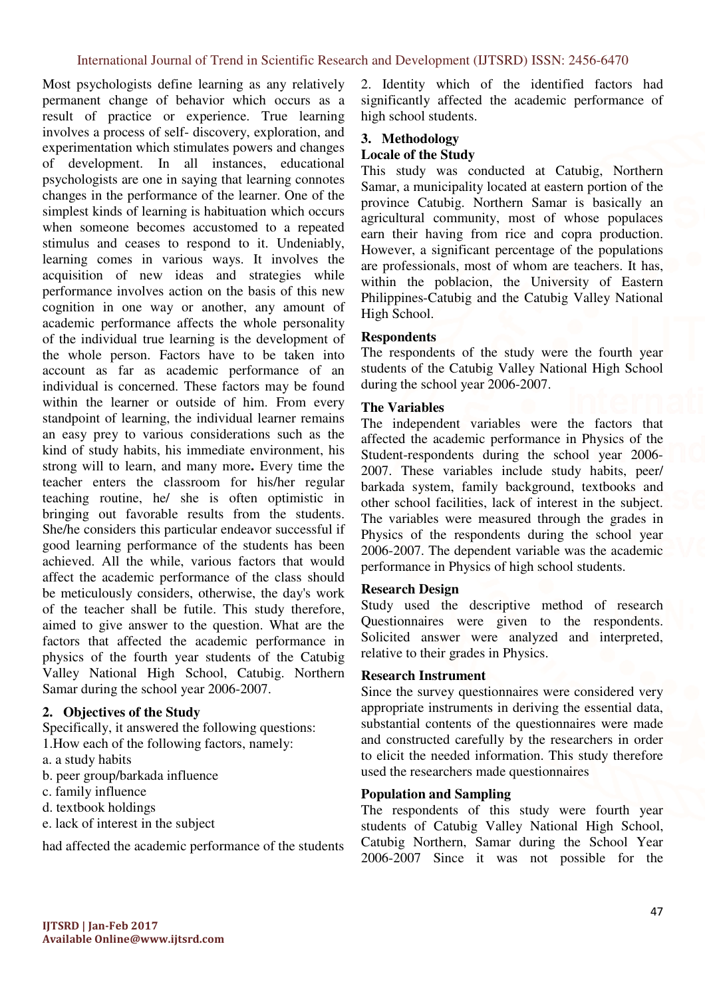Most psychologists define learning as any relatively permanent change of behavior which occurs as a result of practice or experience. True learning involves a process of self- discovery, exploration, and experimentation which stimulates powers and changes of development. In all instances, educational psychologists are one in saying that learning connotes changes in the performance of the learner. One of the simplest kinds of learning is habituation which occurs when someone becomes accustomed to a repeated stimulus and ceases to respond to it. Undeniably, learning comes in various ways. It involves the acquisition of new ideas and strategies while performance involves action on the basis of this new cognition in one way or another, any amount of academic performance affects the whole personality of the individual true learning is the development of the whole person. Factors have to be taken into account as far as academic performance of an individual is concerned. These factors may be found within the learner or outside of him. From every standpoint of learning, the individual learner remains an easy prey to various considerations such as the kind of study habits, his immediate environment, his strong will to learn, and many more**.** Every time the teacher enters the classroom for his/her regular teaching routine, he/ she is often optimistic in bringing out favorable results from the students. She/he considers this particular endeavor successful if good learning performance of the students has been achieved. All the while, various factors that would affect the academic performance of the class should be meticulously considers, otherwise, the day's work of the teacher shall be futile. This study therefore, aimed to give answer to the question. What are the factors that affected the academic performance in physics of the fourth year students of the Catubig Valley National High School, Catubig. Northern Samar during the school year 2006-2007.

#### **2. Objectives of the Study**

Specifically, it answered the following questions: 1.How each of the following factors, namely:

- a. a study habits
- b. peer group/barkada influence
- c. family influence
- d. textbook holdings
- e. lack of interest in the subject

had affected the academic performance of the students

2. Identity which of the identified factors had significantly affected the academic performance of high school students.

#### **3. Methodology Locale of the Study**

This study was conducted at Catubig, Northern Samar, a municipality located at eastern portion of the province Catubig. Northern Samar is basically an agricultural community, most of whose populaces earn their having from rice and copra production. However, a significant percentage of the populations are professionals, most of whom are teachers. It has, within the poblacion, the University of Eastern Philippines-Catubig and the Catubig Valley National High School.

#### **Respondents**

The respondents of the study were the fourth year students of the Catubig Valley National High School during the school year 2006-2007.

#### **The Variables**

The independent variables were the factors that affected the academic performance in Physics of the Student-respondents during the school year 2006- 2007. These variables include study habits, peer/ barkada system, family background, textbooks and other school facilities, lack of interest in the subject. The variables were measured through the grades in Physics of the respondents during the school year 2006-2007. The dependent variable was the academic performance in Physics of high school students.

#### **Research Design**

Study used the descriptive method of research Questionnaires were given to the respondents. Solicited answer were analyzed and interpreted, relative to their grades in Physics.

#### **Research Instrument**

Since the survey questionnaires were considered very appropriate instruments in deriving the essential data, substantial contents of the questionnaires were made and constructed carefully by the researchers in order to elicit the needed information. This study therefore used the researchers made questionnaires

#### **Population and Sampling**

The respondents of this study were fourth year students of Catubig Valley National High School, Catubig Northern, Samar during the School Year 2006-2007 Since it was not possible for the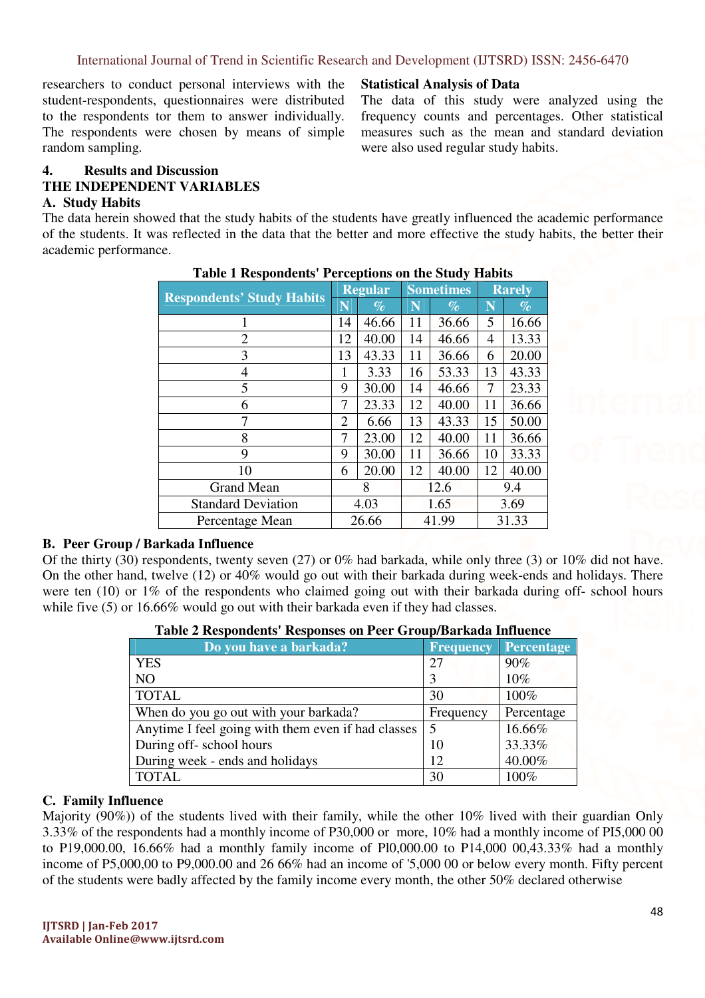researchers to conduct personal interviews with the student-respondents, questionnaires were distributed to the respondents tor them to answer individually. The respondents were chosen by means of simple random sampling.

## **Statistical Analysis of Data**

The data of this study were analyzed using the frequency counts and percentages. Other statistical measures such as the mean and standard deviation were also used regular study habits.

# **4. Results and Discussion THE INDEPENDENT VARIABLES**

## **A. Study Habits**

The data herein showed that the study habits of the students have greatly influenced the academic performance of the students. It was reflected in the data that the better and more effective the study habits, the better their academic performance.

| <b>Respondents' Study Habits</b> |    | <b>Regular</b> |       | <b>Sometimes</b> | <b>Rarely</b> |       |  |
|----------------------------------|----|----------------|-------|------------------|---------------|-------|--|
|                                  | N  | $\%$           | N     | $\%$             | N             | $\%$  |  |
|                                  | 14 | 46.66          | 11    | 36.66            | 5             | 16.66 |  |
| 2                                | 12 | 40.00          | 14    | 46.66            | 4             | 13.33 |  |
| 3                                | 13 | 43.33          | 11    | 36.66            | 6             | 20.00 |  |
| 4                                | 1  | 3.33           | 16    | 53.33            | 13            | 43.33 |  |
| 5                                | 9  | 30.00          | 14    | 46.66            | 7             | 23.33 |  |
| 6                                | 7  | 23.33          | 12    | 40.00            | 11            | 36.66 |  |
| 7                                | 2  | 6.66           | 13    | 43.33            | 15            | 50.00 |  |
| 8                                | 7  | 23.00          | 12    | 40.00            | 11            | 36.66 |  |
| 9                                | 9  | 30.00          | 11    | 36.66            | 10            | 33.33 |  |
| 10                               | 6  | 20.00          | 12    | 40.00            | 12            | 40.00 |  |
| <b>Grand Mean</b>                | 8  |                | 12.6  |                  | 9.4           |       |  |
| <b>Standard Deviation</b>        |    | 4.03           | 1.65  |                  | 3.69          |       |  |
| Percentage Mean                  |    | 26.66          | 41.99 |                  | 31.33         |       |  |

## **Table 1 Respondents' Perceptions on the Study Habits**

## **B. Peer Group / Barkada Influence**

Of the thirty (30) respondents, twenty seven (27) or 0% had barkada, while only three (3) or 10% did not have. On the other hand, twelve (12) or 40% would go out with their barkada during week-ends and holidays. There were ten (10) or 1% of the respondents who claimed going out with their barkada during off- school hours while five (5) or 16.66% would go out with their barkada even if they had classes.

| Do you have a barkada?                             | <b>Frequency</b> | <b>Percentage</b> |
|----------------------------------------------------|------------------|-------------------|
| <b>YES</b>                                         | 27               | 90%               |
| <b>NO</b>                                          | 3                | $10\%$            |
| <b>TOTAL</b>                                       | 30               | 100%              |
| When do you go out with your barkada?              | Frequency        | Percentage        |
| Anytime I feel going with them even if had classes | 5                | 16.66%            |
| During off-school hours                            | 10               | 33.33%            |
| During week - ends and holidays                    | 12               | 40.00%            |
| <b>TOTAL</b>                                       | 30               | 100%              |

| Table 2 Respondents' Responses on Peer Group/Barkada Influence |  |
|----------------------------------------------------------------|--|
|----------------------------------------------------------------|--|

## **C. Family Influence**

Majority (90%)) of the students lived with their family, while the other 10% lived with their guardian Only 3.33% of the respondents had a monthly income of P30,000 or more, 10% had a monthly income of PI5,000 00 to P19,000.00, 16.66% had a monthly family income of Pl0,000.00 to P14,000 00,43.33% had a monthly income of P5,000,00 to P9,000.00 and 26 66% had an income of '5,000 00 or below every month. Fifty percent of the students were badly affected by the family income every month, the other 50% declared otherwise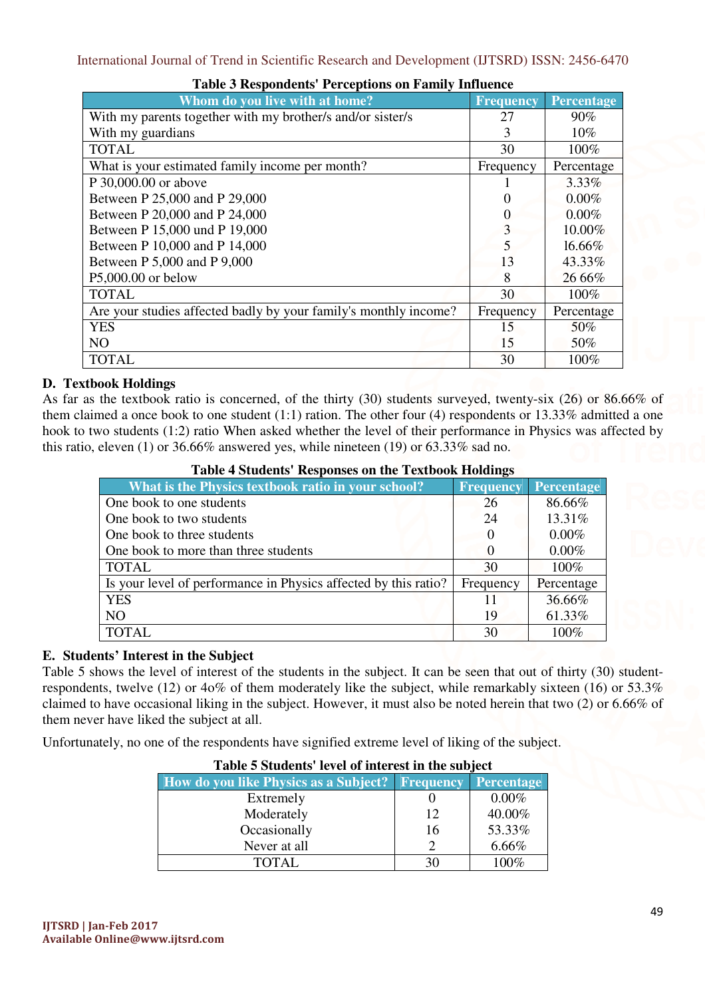| Whom do you live with at home?                                   | <b>Frequency</b> | <b>Percentage</b> |
|------------------------------------------------------------------|------------------|-------------------|
| With my parents together with my brother/s and/or sister/s       | 27               | 90%               |
| With my guardians                                                | 3                | $10\%$            |
| <b>TOTAL</b>                                                     | 30               | 100%              |
| What is your estimated family income per month?                  | Frequency        | Percentage        |
| P 30,000.00 or above                                             |                  | 3.33%             |
| Between P 25,000 and P 29,000                                    |                  | 0.00%             |
| Between P 20,000 and P 24,000                                    |                  | $0.00\%$          |
| Between P 15,000 und P 19,000                                    | 3                | 10.00%            |
| Between P 10,000 and P 14,000                                    | 5                | 16.66%            |
| Between P 5,000 and P 9,000                                      | 13               | 43.33%            |
| P5,000.00 or below                                               | 8                | 26 66%            |
| <b>TOTAL</b>                                                     | 30               | 100%              |
| Are your studies affected badly by your family's monthly income? | Frequency        | Percentage        |
| <b>YES</b>                                                       | 15               | 50%               |
| NO                                                               | 15               | 50%               |
| <b>TOTAL</b>                                                     | 30               | 100%              |

## **Table 3 Respondents' Perceptions on Family Influence**

# **D. Textbook Holdings**

As far as the textbook ratio is concerned, of the thirty (30) students surveyed, twenty-six (26) or 86.66% of them claimed a once book to one student (1:1) ration. The other four (4) respondents or 13.33% admitted a one hook to two students (1:2) ratio When asked whether the level of their performance in Physics was affected by this ratio, eleven (1) or 36.66% answered yes, while nineteen (19) or 63.33% sad no.

| Table 4 Students Responses on the Textbook Holdings             |           |                   |  |  |  |  |  |  |  |
|-----------------------------------------------------------------|-----------|-------------------|--|--|--|--|--|--|--|
| What is the Physics textbook ratio in your school?              | Frequency | <b>Percentage</b> |  |  |  |  |  |  |  |
| One book to one students                                        | 26        | 86.66%            |  |  |  |  |  |  |  |
| One book to two students                                        | 24        | 13.31%            |  |  |  |  |  |  |  |
| One book to three students                                      | $\theta$  | $0.00\%$          |  |  |  |  |  |  |  |
| One book to more than three students                            | $\theta$  | $0.00\%$          |  |  |  |  |  |  |  |
| <b>TOTAL</b>                                                    | 30        | 100%              |  |  |  |  |  |  |  |
| Is your level of performance in Physics affected by this ratio? | Frequency | Percentage        |  |  |  |  |  |  |  |
| <b>YES</b>                                                      | 11        | 36.66%            |  |  |  |  |  |  |  |
| N <sub>O</sub>                                                  | 19        | 61.33%            |  |  |  |  |  |  |  |
| <b>TOTAL</b>                                                    | 30        | $100\%$           |  |  |  |  |  |  |  |

# **Table 4 Students' Responses on the Textbook Holdings**

## **E. Students' Interest in the Subject**

Table 5 shows the level of interest of the students in the subject. It can be seen that out of thirty (30) studentrespondents, twelve (12) or 4o% of them moderately like the subject, while remarkably sixteen (16) or 53.3% claimed to have occasional liking in the subject. However, it must also be noted herein that two (2) or 6.66% of them never have liked the subject at all.

Unfortunately, no one of the respondents have signified extreme level of liking of the subject.

| <b>Table 5 Students level of interest in the subject</b> |               |                   |  |  |  |  |  |  |
|----------------------------------------------------------|---------------|-------------------|--|--|--|--|--|--|
| <b>How do you like Physics as a Subject?</b> Frequency   |               | <b>Percentage</b> |  |  |  |  |  |  |
| Extremely                                                |               | $0.00\%$          |  |  |  |  |  |  |
| Moderately                                               | 12            | 40.00%            |  |  |  |  |  |  |
| Occasionally                                             | 16            | 53.33%            |  |  |  |  |  |  |
| Never at all                                             | $\mathcal{D}$ | $6.66\%$          |  |  |  |  |  |  |
| TOTAL.                                                   | 30            | $100\%$           |  |  |  |  |  |  |

# **Table 5 Students' level of interest in the subject**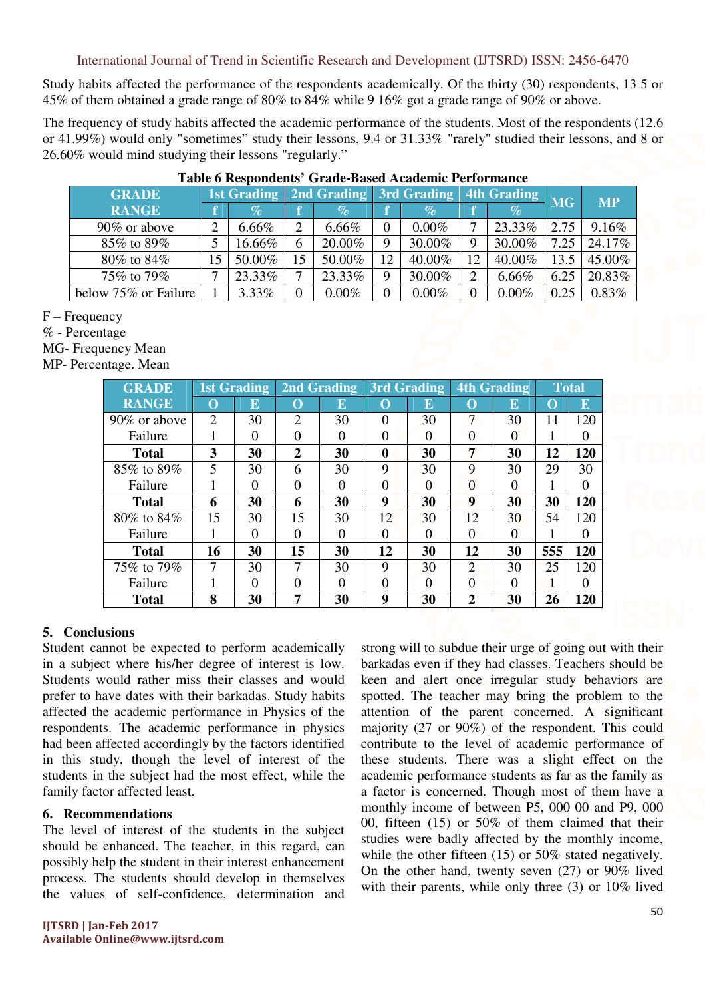International Journal of Trend in Scientific Research and Development (IJTSRD) ISSN: 2456-6470

Study habits affected the performance of the respondents academically. Of the thirty (30) respondents, 13 5 or 45% of them obtained a grade range of 80% to 84% while 9 16% got a grade range of 90% or above.

The frequency of study habits affected the academic performance of the students. Most of the respondents (12.6 or 41.99%) would only "sometimes" study their lessons, 9.4 or 31.33% "rarely" studied their lessons, and 8 or 26.60% would mind studying their lessons "regularly."

| <b>GRADE</b>         | <b>1st Grading</b> |                 | 2nd Grading    |          | 3rd Grading 4th Grading |          |    |          | <b>MG</b> | <b>MP</b> |
|----------------------|--------------------|-----------------|----------------|----------|-------------------------|----------|----|----------|-----------|-----------|
| <b>RANGE</b>         |                    | $\mathcal{O}_0$ |                | $\%$     |                         | $\%$     |    | $\%$     |           |           |
| 90% or above         | ∍                  | 6.66%           | $\overline{2}$ | $6.66\%$ | 0                       | $0.00\%$ |    | 23.33%   | 2.75      | 9.16%     |
| 85% to 89%           |                    | 16.66%          | 6              | 20.00%   | 9                       | 30.00%   | Q  | 30.00%   | 7.25      | 24.17%    |
| 80% to 84%           |                    | 50.00%          | 15             | 50.00%   | 12                      | 40.00%   | 12 | 40.00%   | 13.5      | 45.00%    |
| 75% to 79%           | ⇁                  | 23.33%          | ⇁              | 23.33%   | 9                       | 30.00%   |    | 6.66%    | 6.25      | 20.83%    |
| below 75% or Failure |                    | 3.33%           | 0              | $0.00\%$ | 0                       | $0.00\%$ |    | $0.00\%$ | 0.25      | 0.83%     |

#### **Table 6 Respondents' Grade-Based Academic Performance**

F – Frequency

% - Percentage

MG- Frequency Mean

MP- Percentage. Mean

| <b>GRADE</b> |                | <b>1st Grading</b> |                             | <b>2nd Grading</b> | 3rd Grading      |          |                             | <b>4th Grading</b> | <b>Total</b> |          |
|--------------|----------------|--------------------|-----------------------------|--------------------|------------------|----------|-----------------------------|--------------------|--------------|----------|
| <b>RANGE</b> | $\Omega$       | E                  | $\Omega$                    | E                  | O                | E        | $\Omega$                    | E                  | $\Gamma$     | $\bf E$  |
| 90% or above | $\overline{2}$ | 30                 | $\mathcal{D}_{\mathcal{L}}$ | 30                 | 0                | 30       | 7                           | 30                 | 11           | 120      |
| Failure      |                | $\mathcal{O}$      |                             | $\theta$           |                  | $\theta$ | $\Omega$                    | $\Omega$           |              |          |
| <b>Total</b> | 3              | 30                 | $\mathbf{2}$                | 30                 | $\boldsymbol{0}$ | 30       | 7                           | 30                 | 12           | 120      |
| 85% to 89%   | 5              | 30                 | 6                           | 30                 | 9                | 30       | 9                           | 30                 | 29           | 30       |
| Failure      |                | 0                  |                             | $\Omega$           | 0                | 0        | $\Omega$                    | 0                  |              | 0        |
| <b>Total</b> | 6              | 30                 | 6                           | 30                 | 9                | 30       | 9                           | 30                 | 30           | 120      |
| 80% to 84%   | 15             | 30                 | 15                          | 30                 | 12               | 30       | 12                          | 30                 | 54           | 120      |
| Failure      |                | 0                  |                             | 0                  | 0                | $\Omega$ | $\Omega$                    | 0                  |              |          |
| <b>Total</b> | 16             | 30                 | 15                          | 30                 | 12               | 30       | 12                          | 30                 | 555          | 120      |
| 75% to 79%   | 7              | 30                 |                             | 30                 | 9                | 30       | $\mathcal{D}_{\mathcal{L}}$ | 30                 | 25           | 120      |
| Failure      |                | ∩                  |                             | 0                  | 0                | 0        | $\Omega$                    | 0                  |              | $\Omega$ |
| <b>Total</b> | 8              | 30                 | 7                           | 30                 | 9                | 30       | 2                           | 30                 | 26           | 120      |

## **5. Conclusions**

Student cannot be expected to perform academically in a subject where his/her degree of interest is low. Students would rather miss their classes and would prefer to have dates with their barkadas. Study habits affected the academic performance in Physics of the respondents. The academic performance in physics had been affected accordingly by the factors identified in this study, though the level of interest of the students in the subject had the most effect, while the family factor affected least.

## **6. Recommendations**

The level of interest of the students in the subject should be enhanced. The teacher, in this regard, can possibly help the student in their interest enhancement process. The students should develop in themselves the values of self-confidence, determination and

strong will to subdue their urge of going out with their barkadas even if they had classes. Teachers should be keen and alert once irregular study behaviors are spotted. The teacher may bring the problem to the attention of the parent concerned. A significant majority (27 or 90%) of the respondent. This could contribute to the level of academic performance of these students. There was a slight effect on the academic performance students as far as the family as a factor is concerned. Though most of them have a monthly income of between P5, 000 00 and P9, 000 00, fifteen (15) or 50% of them claimed that their studies were badly affected by the monthly income, while the other fifteen (15) or 50% stated negatively. On the other hand, twenty seven (27) or 90% lived with their parents, while only three (3) or 10% lived